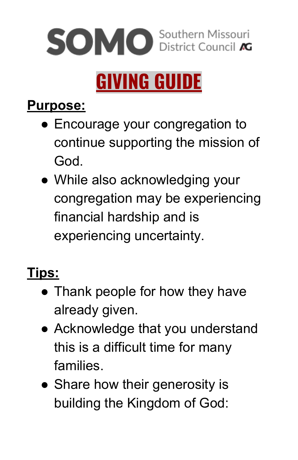

# **GIVING GUIDE**

#### **Purpose:**

- Encourage your congregation to continue supporting the mission of God.
- While also acknowledging your congregation may be experiencing financial hardship and is experiencing uncertainty.

## **Tips:**

- Thank people for how they have already given.
- Acknowledge that you understand this is a difficult time for many families.
- Share how their generosity is building the Kingdom of God: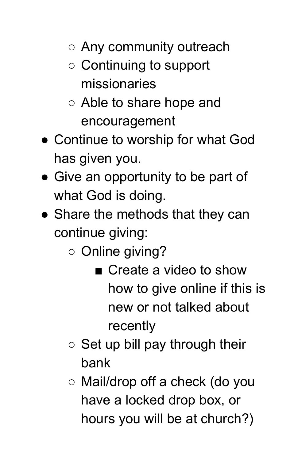- Any community outreach
- Continuing to support missionaries
- Able to share hope and encouragement
- Continue to worship for what God has given you.
- Give an opportunity to be part of what God is doing.
- Share the methods that they can continue giving:
	- Online giving?
		- Create a video to show how to give online if this is new or not talked about recently
	- $\circ$  Set up bill pay through their bank
	- Mail/drop off a check (do you have a locked drop box, or hours you will be at church?)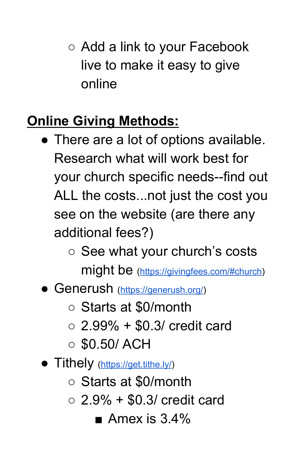○ Add a link to your Facebook live to make it easy to give online

## **Online Giving Methods:**

- There are a lot of options available. Research what will work best for your church specific needs--find out ALL the costs...not just the cost you see on the website (are there any additional fees?)
	- See what your church's costs might be [\(https://givingfees.com/#church](https://givingfees.com/#church))
- Generush [\(https://generush.org/](https://generush.org/))
	- Starts at \$0/month
	- $\circ$  2.99% + \$0.3/ credit card
	- $\circ$  \$0.50/ ACH
- Tithely [\(https://get.tithe.ly/](https://get.tithe.ly/))
	- Starts at \$0/month
	- $\circ$  2.9% + \$0.3/ credit card
		- $\blacksquare$  Amex is 3.4%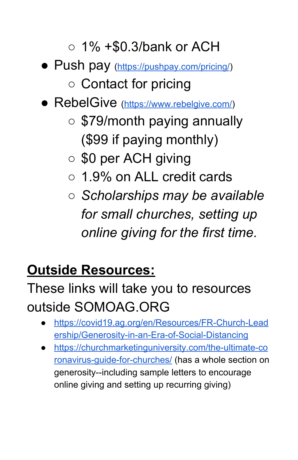#### $\circ$  1% +\$0.3/bank or ACH

● Push pay [\(https://pushpay.com/pricing/](https://pushpay.com/pricing/))

## ○ Contact for pricing

- RebelGive [\(https://www.rebelgive.com/](https://www.rebelgive.com/))
	- \$79/month paying annually (\$99 if paying monthly)
	- \$0 per ACH giving
	- 1.9% on ALL credit cards
	- *○ Scholarships may be available for small churches, setting up online giving for the first time.*

### **Outside Resources:**

## These links will take you to resources outside SOMOAG.ORG

- [https://covid19.ag.org/en/Resources/FR-Church-Lead](https://covid19.ag.org/en/Resources/FR-Church-Leadership/Generosity-in-an-Era-of-Social-Distancing) [ership/Generosity-in-an-Era-of-Social-Distancing](https://covid19.ag.org/en/Resources/FR-Church-Leadership/Generosity-in-an-Era-of-Social-Distancing)
- [https://churchmarketinguniversity.com/the-ultimate-co](https://churchmarketinguniversity.com/the-ultimate-coronavirus-guide-for-churches/) [ronavirus-guide-for-churches/](https://churchmarketinguniversity.com/the-ultimate-coronavirus-guide-for-churches/) (has a whole section on generosity--including sample letters to encourage online giving and setting up recurring giving)